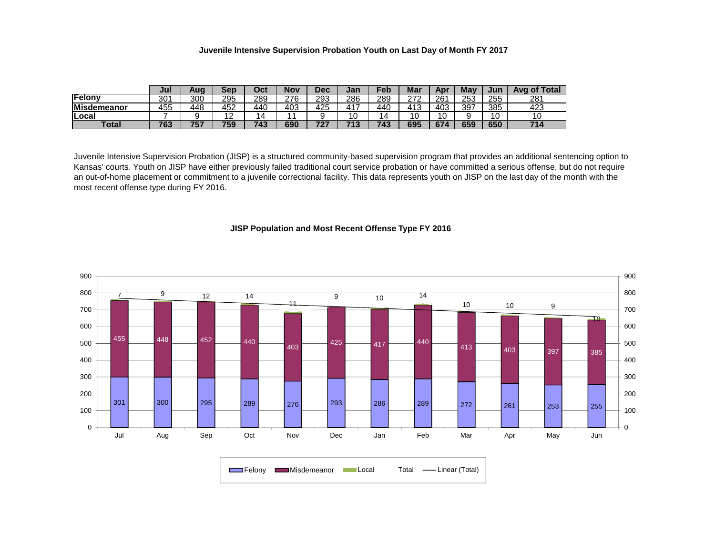## **Juvenile Intensive Supervision Probation Youth on Last Day of Month FY 2017**

|                    | Jul | Auơ          | Sep      | ∩∼∗<br>ししい | Nov | Dec | Jan      | $\mathsf{P}\mathsf{e}\mathsf{b}$ | Mar        | Ap  | May | Jur | <b>Avg of Total</b> |
|--------------------|-----|--------------|----------|------------|-----|-----|----------|----------------------------------|------------|-----|-----|-----|---------------------|
| Felony             | 301 | 300          | 295      | 289        | 276 | 293 | 286      | 289                              | 272<br>-   | 261 | 253 | 255 | 281                 |
| <b>Misdemeanor</b> | 455 | 448          | 452      | 440        | 403 | 425 | 417      | 440                              | 412<br>ں ا | 403 | 397 | 385 | 423                 |
| Local              |     |              | <u>_</u> | $\Delta$   |     |     | 10       | $\overline{a}$                   | 10         | 10  |     | 10  |                     |
| <b>Total</b>       | 763 | 7 F -<br>כי. | 759      | 743        | 690 | ラヘラ | 74'<br>œ | 743                              | 695        | 674 | 659 | 650 | 714                 |

Juvenile Intensive Supervision Probation (JISP) is a structured community-based supervision program that provides an additional sentencing option to Kansas' courts. Youth on JISP have either previously failed traditional court service probation or have committed a serious offense, but do not require an out-of-home placement or commitment to a juvenile correctional facility. This data represents youth on JISP on the last day of the month with the most recent offense type during FY 2016.

## **JISP Population and Most Recent Offense Type FY 2016**